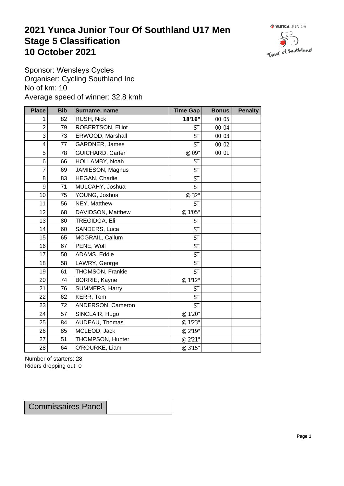## **2021 Yunca Junior Tour Of Southland U17 Men** Stage 5 Classification<br>10 October 2021 **10 October 2021**



Sponsor: Wensleys Cycles Organiser: Cycling Southland Inc No of km: 10 Average speed of winner: 32.8 kmh

| <b>Place</b>     | <b>Bib</b> | Surname, name        | <b>Time Gap</b> | <b>Bonus</b> | <b>Penalty</b> |
|------------------|------------|----------------------|-----------------|--------------|----------------|
| 1                | 82         | RUSH, Nick           | 18'16"          | 00:05        |                |
| $\boldsymbol{2}$ | 79         | ROBERTSON, Elliot    | <b>ST</b>       | 00:04        |                |
| $\mathfrak{S}$   | 73         | ERWOOD, Marshall     | <b>ST</b>       | 00:03        |                |
| 4                | 77         | GARDNER, James       | <b>ST</b>       | 00:02        |                |
| $\overline{5}$   | 78         | GUICHARD, Carter     | @ 09"           | 00:01        |                |
| $\,6$            | 66         | HOLLAMBY, Noah       | <b>ST</b>       |              |                |
| $\overline{7}$   | 69         | JAMIESON, Magnus     | <b>ST</b>       |              |                |
| $\bf 8$          | 83         | HEGAN, Charlie       | <b>ST</b>       |              |                |
| $\boldsymbol{9}$ | 71         | MULCAHY, Joshua      | <b>ST</b>       |              |                |
| 10               | 75         | YOUNG, Joshua        | @ 32"           |              |                |
| 11               | 56         | NEY, Matthew         | <b>ST</b>       |              |                |
| 12               | 68         | DAVIDSON, Matthew    | @ 1'05"         |              |                |
| 13               | 80         | TREGIDGA, Eli        | <b>ST</b>       |              |                |
| 14               | 60         | SANDERS, Luca        | <b>ST</b>       |              |                |
| 15               | 65         | MCGRAIL, Callum      | <b>ST</b>       |              |                |
| 16               | 67         | PENE, Wolf           | <b>ST</b>       |              |                |
| 17               | 50         | ADAMS, Eddie         | <b>ST</b>       |              |                |
| 18               | 58         | LAWRY, George        | <b>ST</b>       |              |                |
| 19               | 61         | THOMSON, Frankie     | <b>ST</b>       |              |                |
| 20               | 74         | <b>BORRIE, Kayne</b> | @ 1'12"         |              |                |
| 21               | 76         | SUMMERS, Harry       | <b>ST</b>       |              |                |
| 22               | 62         | KERR, Tom            | <b>ST</b>       |              |                |
| 23               | 72         | ANDERSON, Cameron    | <b>ST</b>       |              |                |
| 24               | 57         | SINCLAIR, Hugo       | @ 1'20"         |              |                |
| 25               | 84         | AUDEAU, Thomas       | @ 1'23"         |              |                |
| 26               | 85         | MCLEOD, Jack         | @ 2'19"         |              |                |
| 27               | 51         | THOMPSON, Hunter     | @ 2'21"         |              |                |
| 28               | 64         | O'ROURKE, Liam       | @ 3'15"         |              |                |

Number of starters: 28 Riders dropping out: 0

| <b>Commissaires Panel</b> |  |
|---------------------------|--|
|---------------------------|--|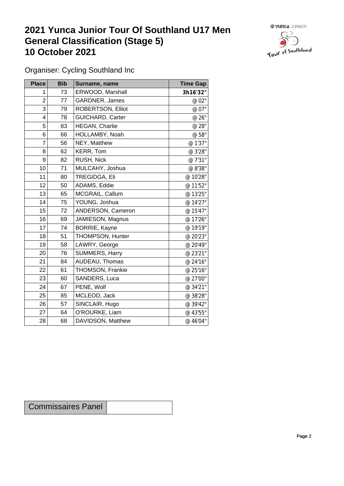## **2021 Yunca Junior Tour Of Southland U17 Men General Classification (Stage 5)**<br>10 October 2021 **10 October 2021**



Organiser: Cycling Southland Inc

| <b>Place</b>            | <b>Bib</b> | Surname, name            | <b>Time Gap</b> |
|-------------------------|------------|--------------------------|-----------------|
| 1                       | 73         | ERWOOD, Marshall         | 3h16'32"        |
| $\overline{c}$          | 77         | GARDNER, James           | @ 02"           |
| 3                       | 79         | <b>ROBERTSON, Elliot</b> | @ 07"           |
| $\overline{\mathbf{4}}$ | 78         | <b>GUICHARD, Carter</b>  | @ 26"           |
| 5                       | 83         | HEGAN, Charlie           | @ 28"           |
| 6                       | 66         | HOLLAMBY, Noah           | @ 58"           |
| $\overline{7}$          | 56         | NEY, Matthew             | @ 1'37"         |
| 8                       | 62         | KERR, Tom                | @ 3'28"         |
| 9                       | 82         | RUSH, Nick               | @ 7'31"         |
| 10                      | 71         | MULCAHY, Joshua          | @ 8'38"         |
| 11                      | 80         | TREGIDGA, Eli            | @ 10'28"        |
| 12                      | 50         | ADAMS, Eddie             | @ 11'52"        |
| 13                      | 65         | MCGRAIL, Callum          | @ 13'25"        |
| 14                      | 75         | YOUNG, Joshua            | @ 14'27"        |
| 15                      | 72         | ANDERSON, Cameron        | @ 15'47"        |
| 16                      | 69         | JAMIESON, Magnus         | @ 17'26"        |
| 17                      | 74         | BORRIE, Kayne            | @ 19'19"        |
| 18                      | 51         | THOMPSON, Hunter         | @ 20'23"        |
| 19                      | 58         | LAWRY, George            | @ 20'49"        |
| 20                      | 76         | SUMMERS, Harry           | @ 23'21"        |
| 21                      | 84         | AUDEAU, Thomas           | @ 24'16"        |
| 22                      | 61         | THOMSON, Frankie         | @ 25'16"        |
| 23                      | 60         | SANDERS, Luca            | @ 27'00"        |
| 24                      | 67         | PENE, Wolf               | @ 34'21"        |
| 25                      | 85         | MCLEOD, Jack             | @ 38'28"        |
| 26                      | 57         | SINCLAIR, Hugo           | @ 39'42"        |
| 27                      | 64         | O'ROURKE, Liam           | @ 43'55"        |
| 28                      | 68         | DAVIDSON, Matthew        | @ 46'04"        |

Commissaires Panel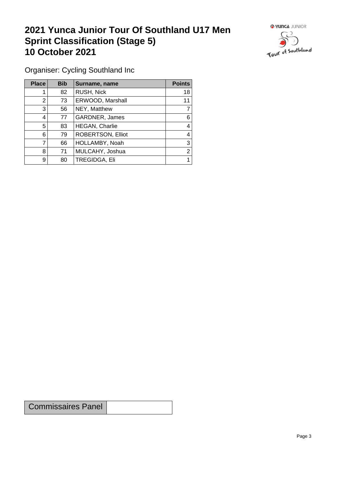## **2021 Yunca Junior Tour Of Southland U17 Men Sprint Classification (Stage 5) 10 October 2021 10 October 2021**



Organiser: Cycling Southland Inc

| <b>Place</b> | <b>Bib</b> | Surname, name            | <b>Points</b> |
|--------------|------------|--------------------------|---------------|
|              | 82         | RUSH, Nick               | 18            |
| 2            | 73         | ERWOOD, Marshall         | 11            |
| 3            | 56         | NEY, Matthew             |               |
| 4            | 77         | GARDNER, James           | 6             |
| 5            | 83         | <b>HEGAN, Charlie</b>    | 4             |
| 6            | 79         | <b>ROBERTSON, Elliot</b> | 4             |
|              | 66         | HOLLAMBY, Noah           | 3             |
| 8            | 71         | MULCAHY, Joshua          | 2             |
| 9            | 80         | TREGIDGA, Eli            |               |

Commissaires Panel